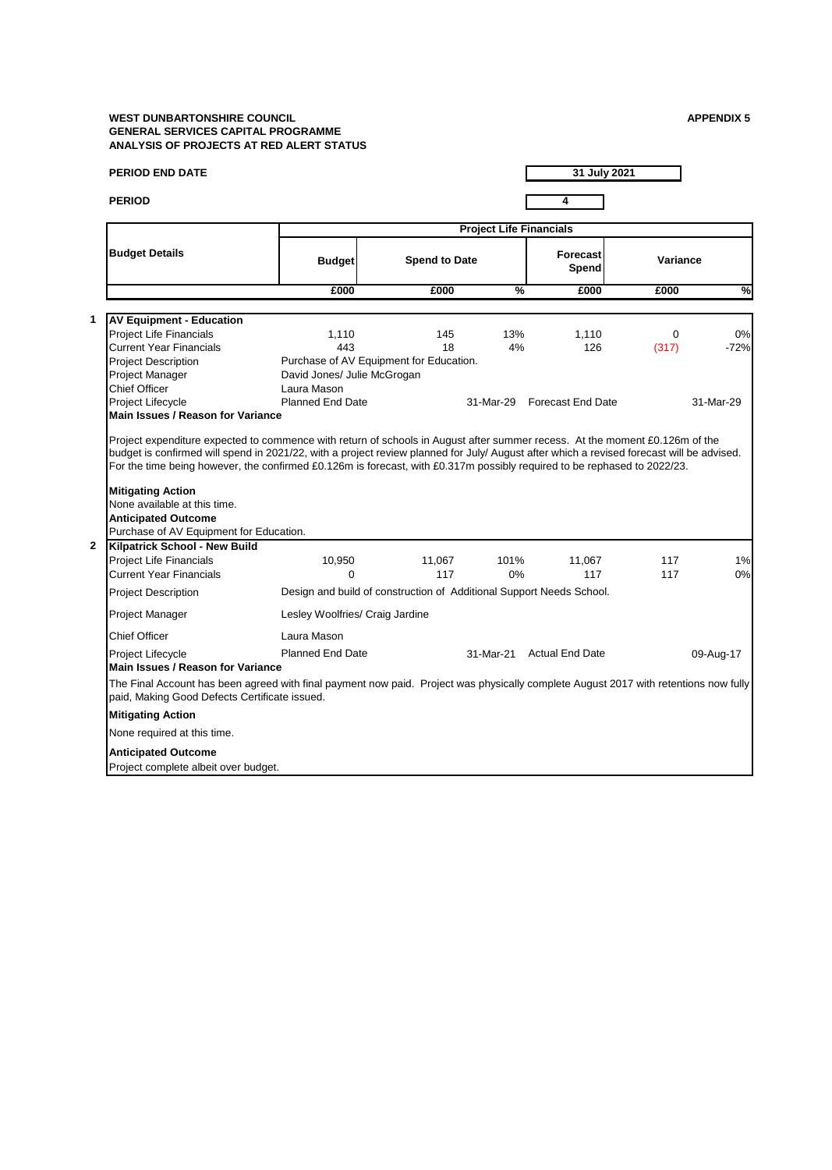## **WEST DUNBARTONSHIRE COUNCIL APPENDIX 5 GENERAL SERVICES CAPITAL PROGRAMME ANALYSIS OF PROJECTS AT RED ALERT STATUS**

| <b>PERIOD END DATE</b>                                                                                                                                                                |                                 |                                                                      |           | 31 July 2021             |                      |              |  |  |  |
|---------------------------------------------------------------------------------------------------------------------------------------------------------------------------------------|---------------------------------|----------------------------------------------------------------------|-----------|--------------------------|----------------------|--------------|--|--|--|
| <b>PERIOD</b>                                                                                                                                                                         |                                 |                                                                      |           | 4                        |                      |              |  |  |  |
| <b>Budget Details</b>                                                                                                                                                                 |                                 | <b>Project Life Financials</b>                                       |           |                          |                      |              |  |  |  |
|                                                                                                                                                                                       | <b>Budget</b>                   | <b>Spend to Date</b>                                                 |           | <b>Forecast</b><br>Spend |                      | Variance     |  |  |  |
|                                                                                                                                                                                       | £000                            | £000                                                                 | $\%$      | £000                     | £000                 | $\%$         |  |  |  |
|                                                                                                                                                                                       |                                 |                                                                      |           |                          |                      |              |  |  |  |
| <b>AV Equipment - Education</b>                                                                                                                                                       |                                 |                                                                      |           |                          |                      |              |  |  |  |
| <b>Project Life Financials</b><br><b>Current Year Financials</b>                                                                                                                      | 1,110<br>443                    | 145<br>18                                                            | 13%<br>4% | 1,110<br>126             | $\mathbf 0$<br>(317) | 0%<br>$-72%$ |  |  |  |
| <b>Project Description</b>                                                                                                                                                            |                                 | Purchase of AV Equipment for Education.                              |           |                          |                      |              |  |  |  |
| Project Manager                                                                                                                                                                       | David Jones/ Julie McGrogan     |                                                                      |           |                          |                      |              |  |  |  |
| <b>Chief Officer</b>                                                                                                                                                                  | Laura Mason                     |                                                                      |           |                          |                      |              |  |  |  |
| Project Lifecycle                                                                                                                                                                     | <b>Planned End Date</b>         |                                                                      | 31-Mar-29 | <b>Forecast End Date</b> |                      | 31-Mar-29    |  |  |  |
| Main Issues / Reason for Variance                                                                                                                                                     |                                 |                                                                      |           |                          |                      |              |  |  |  |
| None available at this time.<br><b>Anticipated Outcome</b><br>Purchase of AV Equipment for Education.                                                                                 |                                 |                                                                      |           |                          |                      |              |  |  |  |
| <b>Kilpatrick School - New Build</b>                                                                                                                                                  |                                 |                                                                      |           |                          |                      |              |  |  |  |
| <b>Project Life Financials</b>                                                                                                                                                        | 10,950                          | 11,067                                                               | 101%      | 11,067                   | 117                  | 1%           |  |  |  |
| <b>Current Year Financials</b>                                                                                                                                                        | $\Omega$                        | 117                                                                  | 0%        | 117                      | 117                  | 0%           |  |  |  |
| <b>Project Description</b>                                                                                                                                                            |                                 | Design and build of construction of Additional Support Needs School. |           |                          |                      |              |  |  |  |
| Project Manager                                                                                                                                                                       | Lesley Woolfries/ Craig Jardine |                                                                      |           |                          |                      |              |  |  |  |
| <b>Chief Officer</b>                                                                                                                                                                  | Laura Mason                     |                                                                      |           |                          |                      |              |  |  |  |
| Project Lifecycle<br><b>Main Issues / Reason for Variance</b>                                                                                                                         | <b>Planned End Date</b>         |                                                                      | 31-Mar-21 | <b>Actual End Date</b>   |                      | 09-Aug-17    |  |  |  |
| The Final Account has been agreed with final payment now paid. Project was physically complete August 2017 with retentions now fully<br>paid, Making Good Defects Certificate issued. |                                 |                                                                      |           |                          |                      |              |  |  |  |
| <b>Mitigating Action</b>                                                                                                                                                              |                                 |                                                                      |           |                          |                      |              |  |  |  |
|                                                                                                                                                                                       |                                 |                                                                      |           |                          |                      |              |  |  |  |
| None required at this time.                                                                                                                                                           |                                 |                                                                      |           |                          |                      |              |  |  |  |
| <b>Anticipated Outcome</b>                                                                                                                                                            |                                 |                                                                      |           |                          |                      |              |  |  |  |